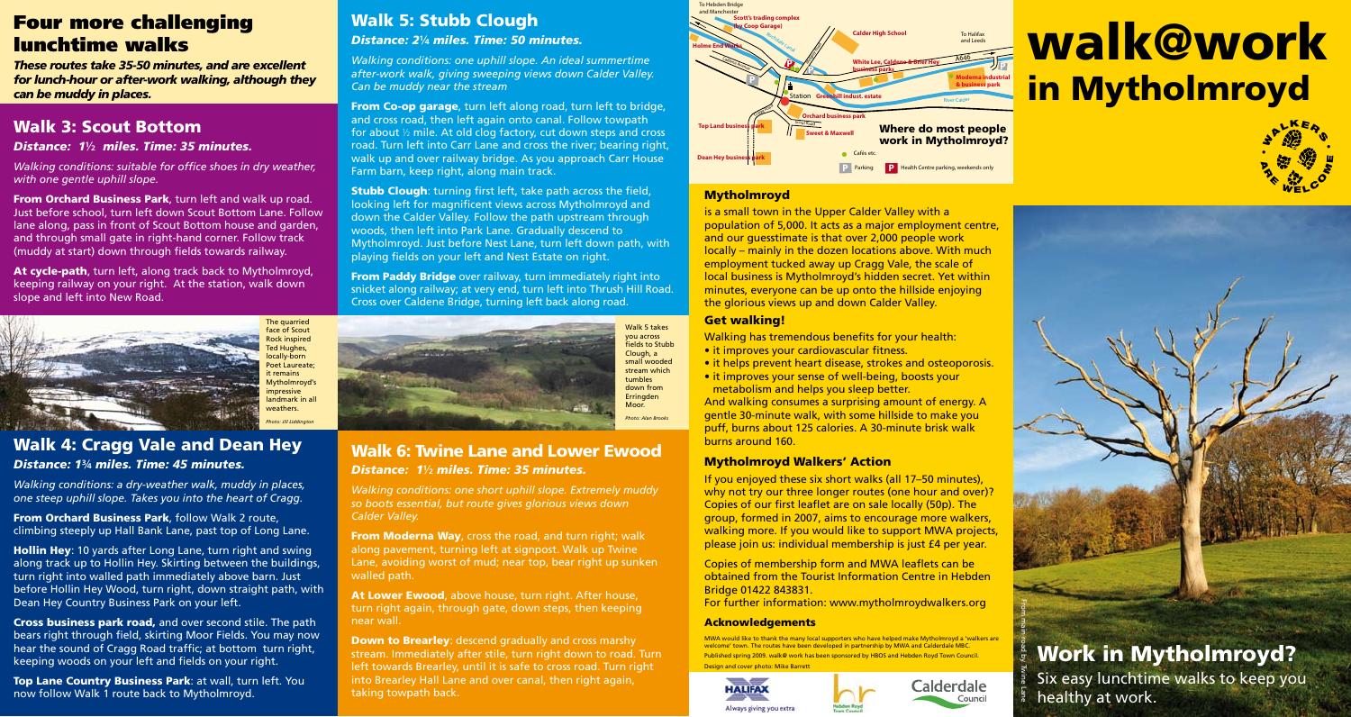## Four more challenging lunchtime walks

*These routes take 35-50 minutes, and are excellent for lunch-hour or after-work walking, although they can be muddy in places.*

## Walk 3: Scout Bottom

#### *Distance: 1*½ *miles. Time: 35 minutes.*

*Walking conditions: suitable for office shoes in dry weather, with one gentle uphill slope.* 

From Orchard Business Park, turn left and walk up road. Just before school, turn left down Scout Bottom Lane. Follow lane along, pass in front of Scout Bottom house and garden, and through small gate in right-hand corner. Follow track (muddy at start) down through fields towards railway.

At cycle-path, turn left, along track back to Mytholmroyd, keeping railway on your right. At the station, walk down slope and left into New Road..



### Walk 4: Cragg Vale and Dean Hey *Distance: 1*¾ *miles. Time: 45 minutes.*

*Walking conditions: a dry-weather walk, muddy in places, one steep uphill slope. Takes you into the heart of Cragg.*

**From Orchard Business Park**, follow Walk 2 route, climbing steeply up Hall Bank Lane, past top of Long Lane.

Hollin Hey: 10 yards after Long Lane, turn right and swing along track up to Hollin Hey. Skirting between the buildings, turn right into walled path immediately above barn. Just before Hollin Hey Wood, turn right, down straight path, with Dean Hey Country Business Park on your left.

Cross business park road, and over second stile. The path bears right through field, skirting Moor Fields. You may now hear the sound of Cragg Road traffic; at bottom turn right, keeping woods on your left and fields on your right.

Top Lane Country Business Park: at wall, turn left. You now follow Walk 1 route back to Mytholmroyd.

## Walk 5: Stubb Clough *Distance: 2*¼ *miles. Time: 50 minutes.*

*Walking conditions: one uphill slope. An ideal summertime after-work walk, giving sweeping views down Calder Valley. Can be muddy near the stream*

**From Co-op garage**, turn left along road, turn left to bridge, and cross road, then left again onto canal. Follow towpath for about ½ mile. At old clog factory, cut down steps and cross road. Turn left into Carr Lane and cross the river; bearing right, walk up and over railway bridge. As you approach Carr House Farm barn, keep right, along main track.

**Stubb Clough:** turning first left, take path across the field, looking left for magnificent views across Mytholmroyd and down the Calder Valley. Follow the path upstream through woods, then left into Park Lane. Gradually descend to Mytholmroyd. Just before Nest Lane, turn left down path, with playing fields on your left and Nest Estate on right.

**From Paddy Bridge** over railway, turn immediately right into snicket along railway; at very end, turn left into Thrush Hill Road. Cross over Caldene Bridge, turning left back along road.



#### Walk 6: Twine Lane and Lower Ewood *Distance: 1*½ *miles. Time: 35 minutes.*

*Walking conditions: one short uphill slope. Extremely muddy so boots essential, but route gives glorious views down Calder Valley.*

**From Moderna Way, cross the road, and turn right; walk** along pavement, turning left at signpost. Walk up Twine Lane, avoiding worst of mud; near top, bear right up sunken walled path.

At Lower Ewood, above house, turn right. After house, turn right again, through gate, down steps, then keeping near wall.

Down to Brearley: descend gradually and cross marshy stream. Immediately after stile, turn right down to road. Turn left towards Brearley, until it is safe to cross road. Turn right into Brearley Hall Lane and over canal, then right again, taking towpath back.



# walk@work in Mytholmroyd



#### **Mytholmroyd**

is a small town in the Upper Calder Valley with a population of 5,000. It acts as a major employment centre, and our guesstimate is that over 2,000 people work locally – mainly in the dozen locations above. With much employment tucked away up Cragg Vale, the scale of local business is Mytholmroyd's hidden secret. Yet within minutes, everyone can be up onto the hillside enjoying the glorious views up and down Calder Valley.

#### Get walking!

Walking has tremendous benefits for your health:

- it improves your cardiovascular fitness.
- it helps prevent heart disease, strokes and osteoporosis.
- it improves your sense of well-being, boosts your metabolism and helps you sleep better.

And walking consumes a surprising amount of energy. A gentle 30-minute walk, with some hillside to make you puff, burns about 125 calories. A 30-minute brisk walk burns around 160.

#### Mytholmroyd Walkers' Action

If you enjoyed these six short walks (all 17–50 minutes), why not try our three longer routes (one hour and over)? Copies of our first leaflet are on sale locally (50p). The group, formed in 2007, aims to encourage more walkers, walking more. If you would like to support MWA projects please join us: individual membership is just £4 per year.

Copies of membership form and MWA leaflets can be obtained from the Tourist Information Centre in Hebden Bridge 01422 843831.

For further information: www.mytholmroydwalkers.org

#### **Acknowledgements**

MWA would like to thank the many local supporters who have helped make Mytholmroyd a 'walkers are welcome' town. The routes have been developed in partnership by MWA and Calderdale MBC. Published spring 2009. walk@ work has been sponsored by HBOS and Hebden Royd Town Council. Design and cover photo: Mike Barrett





## Work in Mytholmroyd?

Six easy lunchtime walks to keep you healthy at work. From main road by Twine Lane